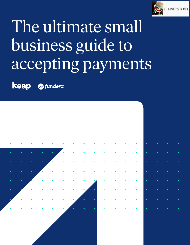

# The ultimate small business guide to accepting payments

**keap A** fundera

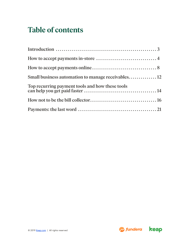## **Table of contents**

| Top recurring payment tools and how these tools |  |
|-------------------------------------------------|--|
|                                                 |  |
|                                                 |  |

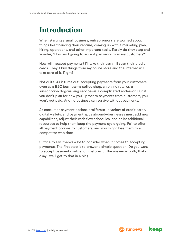## <span id="page-2-0"></span>**Introduction**

When starting a small business, entrepreneurs are worried about things like financing their venture, coming up with a marketing plan, hiring, operations, and other important tasks. Rarely do they stop and wonder, "How am I going to accept payments from my customers?"

How will I accept payments? I'll take their cash. I'll scan their credit cards. They'll buy things from my online store and the internet will take care of it. Right?

Not quite. As it turns out, accepting payments from your customers, even as a B2C business—a coffee shop, an online retailer, a subscription dog-walking service—is a complicated endeavor. But if you don't plan for how you'll process payments from customers, you won't get paid. And no business can survive without payments.

As consumer payment options proliferate—a variety of credit cards, digital wallets, and payment apps abound—businesses must add new capabilities, adjust their cash flow schedules, and enlist additional resources to help them keep the payment cycle going. Fail to offer all payment options to customers, and you might lose them to a competitor who does.

Suffice to say, there's a lot to consider when it comes to accepting payments. The first step is to answer a simple question: Do you want to accept payments online, or in-store? (If the answer is both, that's okay—we'll get to that in a bit.)



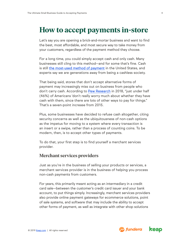### <span id="page-3-0"></span>**How to accept payments in-store**

Let's say you are opening a brick-and-mortar business and want to find the best, most affordable, and most secure way to take money from your customers, regardless of the payment method they choose.

For a long time, you could simply accept cash and only cash. Many businesses still cling to this method—and for some that's fine. Cash is still [the most-used method of payment](https://www.cnbc.com/2018/08/06/spike-the-dollars-obit-cash-is-still-a-growth-business.html) in the United States, and experts say we are generations away from being a cashless society.

That being said, stores that don't accept alternative forms of payment may increasingly miss out on business from people who don't carry cash. According to [Pew Research](https://www.pewresearch.org/fact-tank/2018/12/12/more-americans-are-making-no-weekly-purchases-with-cash/) in 2018, "just under half (46%) of Americans 'don't really worry much about whether they have cash with them, since there are lots of other ways to pay for things." That's a seven-point increase from 2015.

Plus, some businesses have decided to refuse cash altogether, citing security concerns as well as the ubiquitousness of non-cash options as the impetus for moving to a system where every transaction is an insert or a swipe, rather than a process of counting coins. To be modern, then, is to accept other types of payments.

To do that, your first step is to find yourself a merchant services provider.

#### **Merchant services providers**

Just as you're in the business of selling your products or services, a merchant services provider is in the business of helping you process non-cash payments from customers.

For years, this primarily meant acting as an intermediary in a credit card sale—between the customer's credit card issuer and your bank account, to put things simply. Increasingly, merchant services providers also provide online payment gateways for ecommerce solutions, point of sale systems, and software that may include the ability to accept other forms of payment, as well as integrate with other shop solutions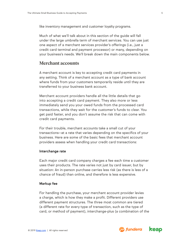like inventory management and customer loyalty programs.

Much of what we'll talk about in this section of the guide will fall under the large umbrella term of merchant services. You can use just one aspect of a merchant services provider's offerings (i.e., just a credit card terminal and payment processor) or many, depending on your business's needs. We'll break down the main components below.

#### **Merchant accounts**

A merchant account is key to accepting credit card payments in any setting. Think of a merchant account as a type of bank account where funds from your customers temporarily reside until they are transferred to your business bank account.

Merchant account providers handle all the little details that go into accepting a credit card payment. They also more or less immediately send you your owed funds from the processed card transactions, while they wait for the customer's funds to clear. You get paid faster, and you don't assume the risk that can come with credit card payments.

For their trouble, merchant accounts take a small cut of your transactions—at a rate that varies depending on the specifics of your business. Here are some of the basic fees that merchant account providers assess when handling your credit card transactions:

#### Interchange rate

Each major credit card company charges a fee each time a customer uses their products. The rate varies not just by card issuer, but by situation: An in-person purchase carries less risk (as there is less of a chance of fraud) than online, and therefore is less expensive.

#### Markup fee

For handling the purchase, your merchant account provider levies a charge, which is how they make a profit. Different providers use different payment structures. The three most common are tiered (a different rate for every type of transaction, such as the type of card, or method of payment), interchange-plus (a combination of the

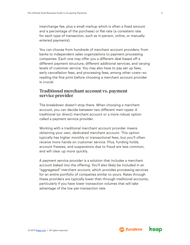interchange fee, plus a small markup which is often a fixed amount and a percentage of the purchase) or flat-rate (a consistent rate for each type of transaction, such as in-person, online, or manually entered payments).

You can choose from hundreds of merchant account providers, from banks to independent sales organizations to payment processing companies. Each one may offer you a different deal based off a different payment structure, different additional services, and varying levels of customer service. You may also have to pay set up fees, early cancellation fees, and processing fees, among other costs—so reading the fine print before choosing a merchant account provider is crucial.

#### **Traditional merchant account vs. payment service provider**

The breakdown doesn't stop there. When choosing a merchant account, you can decide between two different main types: A traditional (or direct) merchant account or a more robust option called a payment service provider.

Working with a traditional merchant account provider means obtaining your own, dedicated merchant account. This option typically has higher monthly or transactional fees, but you'll often receive more hands-on customer service. Plus, funding holds, account freezes, and suspensions due to fraud are less common, and will clear up more quickly.

A payment service provider is a solution that includes a merchant account baked into the offering. You'll also likely be included in an "aggregated" merchant account, which provides processing services for an entire portfolio of companies similar to yours. Rates through these providers are typically lower than through traditional accounts, particularly if you have lower transaction volumes that will take advantage of the low per-transaction rate.

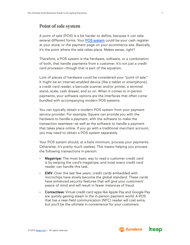#### **Point of sale system**

A point of sale (POS) is a bit harder to define, because it can take several different forms. Your [POS system](https://www.fundera.com/blog/pos-systems) could be your cash register at your store, or the payment page on your ecommerce site. Basically, it's the point where the sale takes place. Makes sense, right?

Therefore, a POS system is the hardware, software, or a combination of both, that handle payments from a customer. It's not just a credit card processor—though that is part of the equation.

Lots of pieces of hardware could be considered your "point of sale." It might be an internet-enabled device (like a tablet or smartphone), a credit card reader, a barcode scanner and/or printer, a terminal stand, scale, cash drawer, and so on. When it comes to in-person payments, your software options are the interfaces that often come bundled with accompanying modern POS systems.

You can typically obtain a modern POS system from your payment service provider. For example, Square can provide you with the hardware to handle a payment, with the software to make the transaction seamless—as well as the software to handle a payment that takes place online. If you go with a traditional merchant account, you may need to obtain a POS system separately.

Your POS system should, at a bare minimum, process your payments. Otherwise, it's pretty much useless. This means helping you process the following transactions in-person:

- Magstripe: The most basic way to read a customer credit card is by swiping the card's magstripe, and most every credit card reader can handle this task.
- **EMV:** Over the last few years, credit cards embedded with microchips have slowly become the global standard. These cards have enhanced security features that will give your customers' peace of mind and will result in fewer instances of fraud.
- Contactless: Virtual credit card apps like Apple Pay and Google Pay are quickly gaining steam in the in-person payment world. A POS that has a near-field communication (NFC) reader will cost extra, but you'll be the ultimate in convenience for your customers.

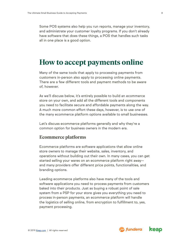<span id="page-7-0"></span>Some POS systems also help you run reports, manage your inventory, and administrate your customer loyalty programs. If you don't already have software that does these things, a POS that handles such tasks all in one place is a good option.

## **How to accept payments online**

Many of the same tools that apply to processing payments from customers in-person also apply to processing online payments. There are a few different tools and payment methods to be aware of, however.

As we'll discuss below, it's entirely possible to build an ecommerce store on your own, and add all the different tools and components you need to facilitate secure and affordable payments along the way. A much more common effort these days, however, is to use one of the many ecommerce platform options available to small businesses.

Let's discuss ecommerce platforms generally and why they're a common option for business owners in the modern era.

#### **Ecommerce platforms**

Ecommerce platforms are software applications that allow online store owners to manage their website, sales, inventory, and operations without building out their own. In many cases, you can get started selling your wares on an ecommerce platform right away and many providers offer different price points, functionalities, and branding options.

Leading ecommerce platforms also have many of the tools and software applications you need to process payments from customers baked into their products. Just as buying a robust point of sale system from a PSP for your store gives you everything you need to process in-person payments, an ecommerce platform will handle the logistics of selling online, from encryption to fulfillment to, yes, payment processing.

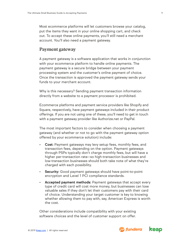Most ecommerce platforms will let customers browse your catalog, put the items they want in your online shopping cart, and check out. To accept these online payments, you'll still need a merchant account. You'll also need a payment gateway.

#### **Payment gateway**

A payment gateway is a software application that works in conjunction with your ecommerce platform to handle online payments. The payment gateway is a secure bridge between your payment processing system and the customer's online payment of choice. Once the transaction is approved the payment gateway sends your funds to your merchant account.

Why is this necessary? Sending payment transaction information directly from a website to a payment processor is prohibited.

Ecommerce platforms and payment service providers like Shopify and Square, respectively, have payment gateways included in their product offerings. If you are not using one of these, you'll need to get in touch with a payment gateway provider like Authorize.net or PayPal.

The most important factors to consider when choosing a payment gateway (and whether or not to go with the payment gateway option offered by your ecommerce solution) include:

- Cost: Payment gateways may levy setup fees, monthly fees, and transaction fees, depending on the option. Payment gateways through PSPs typically don't charge monthly fees, but will have a higher per-transaction rate—so high-transaction businesses and low-transaction businesses should both take note of what they're charged with each possibility.
- Security: Good payment gateways should have point-to-point encryption and Level 1 PCI compliance standards.
- Accepted payment methods: Payment gateways that accept every type of credit card will cost more money, but businesses can lose valuable sales if they don't let their customers pay with their card of choice. Understanding your target customer is key to knowing whether allowing them to pay with, say, American Express is worth the cost.

Other considerations include compatibility with your existing software choices and the level of customer support on offer.

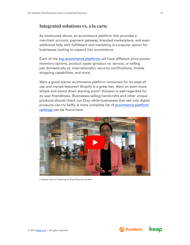#### **Integrated solutions vs. a la carte**

As mentioned above, an ecommerce platform that provides a merchant account, payment gateway, branded marketplace, and even additional help with fulfillment and marketing is a popular option for businesses looking to expand into ecommerce.

Each of the [top ecommerce platforms](https://www.fundera.com/blog/ecommerce-platforms) will have different price points, inventory options, product types (product vs. service, or selling just domestically vs. internationally), security certifications, mobile shopping capabilities, and more.

Want a good starter ecommerce platform renowned for its ease-ofuse and myriad features? Shopify is a great bet. Want an even more simple and pared down starting point? Volusion is well-regarded for its user-friendliness. Businesses selling handicrafts and other unique products should check out Etsy, while businesses that sell only digital products can try Sellfy. A more complete list of [ecommerce platform](https://www.fundera.com/blog/ecommerce-platforms)  [rankings](https://www.fundera.com/blog/ecommerce-platforms) can be found here.



5 Genius Tips for Opening an Etsy Shop by Fundera

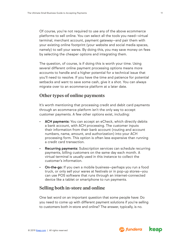Of course, you're not required to use any of the above ecommerce platforms to sell online. You can select all the tools you need—virtual terminal, merchant account, payment gateway—and pair them with your existing online footprint (your website and social media spaces, namely) to sell your wares. By doing this, you may save money on fees by selecting the cheaper options and integrating them.

The question, of course, is if doing this is worth your time. Using several different online payment processing options means more accounts to handle and a higher potential for a technical issue that you'll need to resolve. If you have the time and patience for potential setbacks and want to save some cash, give it a shot. You can always migrate over to an ecommerce platform at a later date.

#### **Other types of online payments**

It's worth mentioning that processing credit and debit card payments through an ecommerce platform isn't the only way to accept customer payments. A few other options exist, including:

- ACH payments: You can accept an eCheck, which directly debits a bank account, with ACH processing. The customer inputs their information from their bank account (routing and account numbers, name, amount, and authorization) into your ACH processing form. This option is often less expensive than running a credit card transaction.
- Recurring payments: Subscription services can schedule recurring payments, billing customers on the same day each month. A virtual terminal is usually used in this instance to collect the customer's information.
- On-the-go: If you own a mobile business—perhaps you run a food truck, or only sell your wares at festivals or in pop-up stores—you can use POS software that runs through an internet-connected device like a tablet or smartphone to run payments.

#### **Selling both in-store and online**

One last word on an important question that some people have: Do you need to come up with different payment solutions if you're selling to customers both in-store and online? The answer, typically, is no.

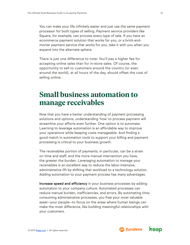<span id="page-11-0"></span>You can make your life infinitely easier and just use the same payment processor for both types of selling. Payment service providers like Square, for example, can process every type of sale. If you have an ecommerce payment solution that works for you, or a brick-andmortar payment service that works for you, take it with you when you expand into the alternate sphere.

There is just one difference to note: You'll pay a higher fee for accepting online sales than for in-store sales. Of course, the opportunity to sell to customers around the country (or even around the world), at all hours of the day, should offset the cost of selling online.

## **Small business automation to manage receivables**

Now that you have a better understanding of payment processing solutions and options, understanding 'how' to process payment will streamline your efforts even further. One option is to automate. Learning to leverage automation is an affordable way to improve your operations while keeping costs manageable. And finding a good match in automation tools to support your billing and payment processing is critical to your business growth.

The receivables portion of payments, in particular, can be a strain on time and staff, and the more manual intervention you have, the greater the burden. Leveraging automation to manage your receivables is an excellent way to reduce the labor-intensive, administrative lift by shifting that workload to a technology solution. Adding automation to your payment process has many advantages.

Increase speed and efficiency in your business processes by adding automation to your company culture. Automated processes can reduce manual burden, inefficiencies, and errors. By automating timeconsuming administrative processes, you free your most valuable asset—your people—to focus on the areas where human beings can make the most difference, like building meaningful relationships with your customers.

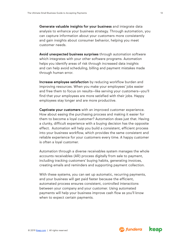Generate valuable insights for your business and integrate data analysis to enhance your business strategy. Through automation, you can capture information about your customers more consistently and gain insights about consumer behavior, helping you meet customer needs.

Avoid unexpected business surprises through automation software which integrates with your other software programs. Automation helps you identify areas of risk through increased data insights and can help avoid scheduling, billing and payment mistakes made through human error.

Increase employee satisfaction by reducing workflow burden and improving resources. When you make your employees' jobs easier and free them to focus on results—like serving your customers—you'll find that your employees are more satisfied with their jobs. Happy employees stay longer and are more productive.

Captivate your customers with an improved customer experience. How about easing the purchasing process and making it easier for them to become a loyal customer? Automation does just that. Having a clunky, difficult experience with a buying decision has the opposite effect. Automation will help you build a consistent, efficient process into your business workflow, which provides the same consistent and reliable experience for your customers every time. A happy customer is often a loyal customer.

Automation through a diverse receivables system manages the whole accounts receivables (AR) process digitally from sale to payment, including tracking customers' buying habits, generating invoices, creating emails and reminders and supporting payment collection.

With these systems, you can set up automatic, recurring payments, and your business will get paid faster because the efficient, automated process ensures consistent, controlled interactions between your company and your customer. Using automated payments will help your business improve cash flow as you'll know when to expect certain payments.



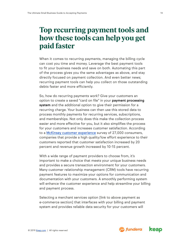## <span id="page-13-0"></span>**Top recurring payment tools and how these tools can help you get paid faster**

When it comes to recurring payments, managing the billing cycle can cost you time and money. Leverage the best payment tools to fit your business needs and save on both. Automating this part of the process gives you the same advantages as above, and stay directly focused on payment collection. And even better news; recurring payment tools can help you collect on those outstanding debts faster and more efficiently.

So, how do recurring payments work? Give your customers an option to create a saved "card on file" in your payment processing system and the additional option to give their permission for a recurring charge. Your business can then use this stored data to process monthly payments for recurring services, subscriptions, and memberships. Not only does this make the collection process easier and more effective for you, but it also simplifies the process for your customers and increases customer satisfaction. According to a [McKinsey customer experience](https://www.mckinsey.com/industries/retail/our-insights/the-three-cs-of-customer-satisfaction-consistency-consistency-consistency) survey of 27,000 consumers, companies that provide a high quality/low effort experience to their customers reported that customer satisfaction increased by 20 percent and revenue growth increased by 10-15 percent.

With a wide range of payment providers to choose from, it's important to make a choice that meets your unique business needs and provides a secure transaction environment for your customers. Many customer relationship management (CRM) tools have recurring payment features to maximize your options for communication and documentation with your customers. A smoothly performing system will enhance the customer experience and help streamline your billing and payment process.

Selecting a merchant services option [link to above payment as e-commerce section] that interfaces with your billing and payment system and provides reliable data security for your customers will

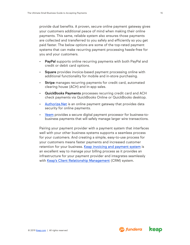provide dual benefits. A proven, secure online payment gateway gives your customers additional peace of mind when making their online payments. This same, reliable system also ensures those payments are collected and transferred to you safely and efficiently so you get paid faster. The below options are some of the top-rated payment systems that can make recurring payment processing hassle-free for you and your customers.

- PayPal supports online recurring payments with both PayPal and credit or debit card options.
- Square provides invoice-based payment processing online with additional functionality for mobile and in-store purchasing.
- Stripe manages recurring payments for credit card, automated clearing house (ACH) and in-app sales.
- QuickBooks Payments processes recurring credit card and ACH check payments via QuickBooks Online or QuickBooks desktop.
- Authorize. Net is an online payment gateway that provides data security for online payments.
- [Veem](https://www.fundera.com/blog/veem-review]) provides a secure digital payment processor for business-tobusiness payments that will safely manage larger wire transactions.

Pairing your payment provider with a payment system that interfaces well with your other business systems supports a seamless process for your customers. And creating a simple, easy-to-use process for your customers means faster payments and increased customer retention for your business. [Keap invoicing and payment system](https://keap.com/features/invoices-payments) is an excellent way to manage your billing process as it provides an infrastructure for your payment provider and integrates seamlessly with [Keap's Client Relationship Management](https://keap.com/features/client-management) (CRM) system.

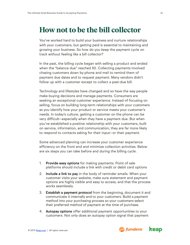## <span id="page-15-0"></span>**How not to be the bill collector**

You've worked hard to build your business and nurture relationships with your customers, but getting paid is essential to maintaining and growing your business. So how do you keep the payment cycle on track without feeling like a bill collector?

In the past, the billing cycle began with selling a product and ended when the "balance due" reached \$0. Collecting payments involved chasing customers down by phone and mail to remind them of payment due dates and to request payment. Many vendors didn't follow up with a customer except to collect a past-due bill.

Technology and lifestyles have changed and so have the way people make buying decisions and manage payments. Consumers are seeking an exceptional customer experience. Instead of focusing on selling, focus on building long-term relationships with your customers as you identify how your product or service meets your customer's needs. In today's culture, getting a customer on the phone can be very difficult—especially when they have a payment due. But when you've established a positive relationship with your customers, built on service, information, and communication, they are far more likely to respond to contacts asking for their input—or their payment.

Some advanced planning can increase your customer experience efficiency on the front end and minimize collection activities. Below are six steps you can take before and during the billing cycle.

- 1. Provide easy options for making payments. Point of sale platforms should include a link with credit or debit card options
- 2. Include a link to pay in the body of reminder emails. When your customer visits your website, make sure statement and payment options are highly visible and easy to access, and that the process works seamlessly.
- 3. Establish a payment protocol from the beginning, document it and communicate it internally and to your customers. Build a payment method into your purchasing process so your customers select their preferred method of payment at the time of purchase.
- 4. Autopay options offer additional payment opportunities to your customers. Not only does an autopay option signal that payment

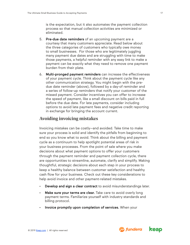is the expectation, but it also automates the payment collection process so that manual collection activities are minimized or eliminated.

- 5. Pre-due date reminders of an upcoming payment are a courtesy that many customers appreciate. Read below about the three categories of customers who typically owe money to small businesses. For those who are legitimately juggling many payment due dates and are struggling with time to make those payments, a helpful reminder with any easy link to make a payment can be exactly what they need to remove one payment burden from their plate.
- 6. Multi-pronged payment reminders can increase the effectiveness of your payment cycle. Think about the payment cycle like any other communication strategy. You might begin with the predue date reminder (above), followed by a day-of reminder and a series of follow-up reminders that notify your customer of the missed payment. Consider incentives you can offer to increase the speed of payment, like a small discount on bills paid in full before the due date. For late payments, consider including options to avoid late payment fees and negative credit reporting in exchange for bringing the account current.

#### **Avoiding invoicing mistakes**

Invoicing mistakes can be costly—and avoided. Take time to make sure your process is solid and identify the pitfalls from beginning to end so you know what to avoid. Think about the billing and payment cycle as a continuum to help spotlight potential areas of risk in your business processes. From the point of sale where you make decisions about what payment options to offer your customers through the payment reminder and payment collection cycle, there are opportunities to streamline, automate, clarify and simplify. Making thoughtful, strategic decisions about each step in your process to keep a healthy balance between customer satisfaction and healthy cash flow for your business. Check out these key considerations to help avoid invoice and other payment-related mistakes.

- Develop and sign a clear contract to avoid misunderstandings later.
- Make sure your terms are clear. Take care to avoid overly long payment terms. Familiarize yourself with industry standards and billing protocol.
- Invoice promptly upon completion of services. When your

© 2019 [Keap.com](http://www.keap.com) | All rights reserved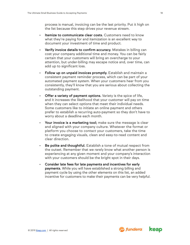process is manual, invoicing can be the last priority. Put it high on the list because this step drives your revenue stream.

- Itemize to communicate clear costs. Customers need to know what they're paying for and itemization is an excellent way to document your investment of time and product.
- Verify invoice details to confirm accuracy. Mistakes in billing can cost your company additional time and money. You can be fairly certain that your customers will bring an overcharge to your attention, but under-billing may escape notice and, over time, can add up to significant loss.
- Follow up on unpaid invoices promptly. Establish and maintain a consistent payment reminder process, which can be part of your automated payment system. When your customers hear from you consistently, they'll know that you are serious about collecting the outstanding payment.
- Offer a variety of payment options. Variety is the spice of life, and it increases the likelihood that your customer will pay on time when they can select options that meet their individual needs. Some customers like to initiate an online payment and others prefer to establish a recurring auto-payment so they don't have to worry about a deadline each month.
- Your invoice is a marketing tool; make sure the message is clear and aligned with your company culture. Whatever the format or platform you choose to contact your customers, take the time to create engaging visuals, clean and easy-to-read content and clear direction.
- Be polite and thoughtful. Establish a tone of mutual respect from the outset. Remember that we rarely know what another person is experiencing at any given moment and your company's interaction with your customers should be the bright spot in their days.
- Consider late fees for late payments and incentives for early payments. While you will have established a strong billing and payment cycle by using the other elements on this list, an added incentive for customers to make their payments can be very helpful.



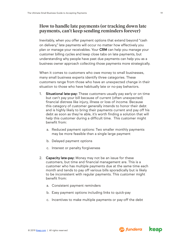#### **How to handle late payments (or tracking down late payments, can't keep sending reminders forever)**

Inevitably, when you offer payment options that extend beyond "cash on delivery," late payments will occur no matter how effectively you plan or manage your receivables. Your CRM can help you manage your customer billing cycles and keep close tabs on late payments, but understanding why people have past due payments can help you as a business owner approach collecting those payments more strategically.

When it comes to customers who owe money to small businesses, many small business experts identify three categories. These customers range from those who have an unexpected change in their situation to those who have habitually late or no-pay behaviors.

- 1. Situational late-pay: These customers usually pay early or on time but can't pay your bill because of current (often unexpected) financial distress like injury, illness or loss of income. Because this category of customer generally intends to honor their debt and is highly likely to bring their payments current and pay off his debt as soon as they're able, it's worth finding a solution that will help this customer during a difficult time. This customer might benefit from:
	- a. Reduced payment options: Two smaller monthly payments may be more feasible than a single large payment
	- b. Delayed payment options
	- c. Interest or penalty forgiveness
- 2. Capacity late-pay: Money may not be an issue for these customers, but time and financial management are. This is a customer who has multiple payments due at the same time each month and tends to pay off various bills sporadically but is likely to be inconsistent with regular payments. This customer might benefit from:
	- a. Consistent payment reminders
	- b. Easy payment options including links to quick-pay
	- c. Incentives to make multiple payments or pay-off the debt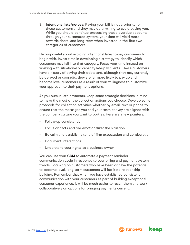3. Intentional late/no-pay: Paying your bill is not a priority for these customers and they may do anything to avoid paying you. While you should continue processing these overdue accounts through your automated system, your time will yield more rewards short- and long-term when invested in the first two categories of customers.

Be purposeful about avoiding intentional late/no-pay customers to begin with. Invest time in developing a strategy to identify which customers may fall into that category. Focus your time instead on working with situational or capacity late-pay clients. These customers have a history of paying their debts and, although they may currently be delayed or sporadic, they are far more likely to pay up and become loyal customers as a result of your willingness to customize your approach to their payment options.

As you pursue late payments, keep some strategic decisions in mind to make the most of the collection actions you choose. Develop some protocols for collection activities whether by email, text or phone to ensure that the messages you and your team convey are aligned with the company culture you want to portray. Here are a few pointers.

- Follow-up consistently
- Focus on facts and "de-emotionalize" the situation
- Be calm and establish a tone of firm expectation and collaboration
- Document interactions
- Understand your rights as a business owner

You can use your CRM to automate a payment reminder communication cycle in response to your billing and payment system trends. Focusing on customers who have been or have the potential to become loyal, long-term customers will facilitate relationshipbuilding. Remember that when you have established consistent communication with your customers as part of building exceptional customer experience, it will be much easier to reach them and work collaboratively on options for bringing payments current.